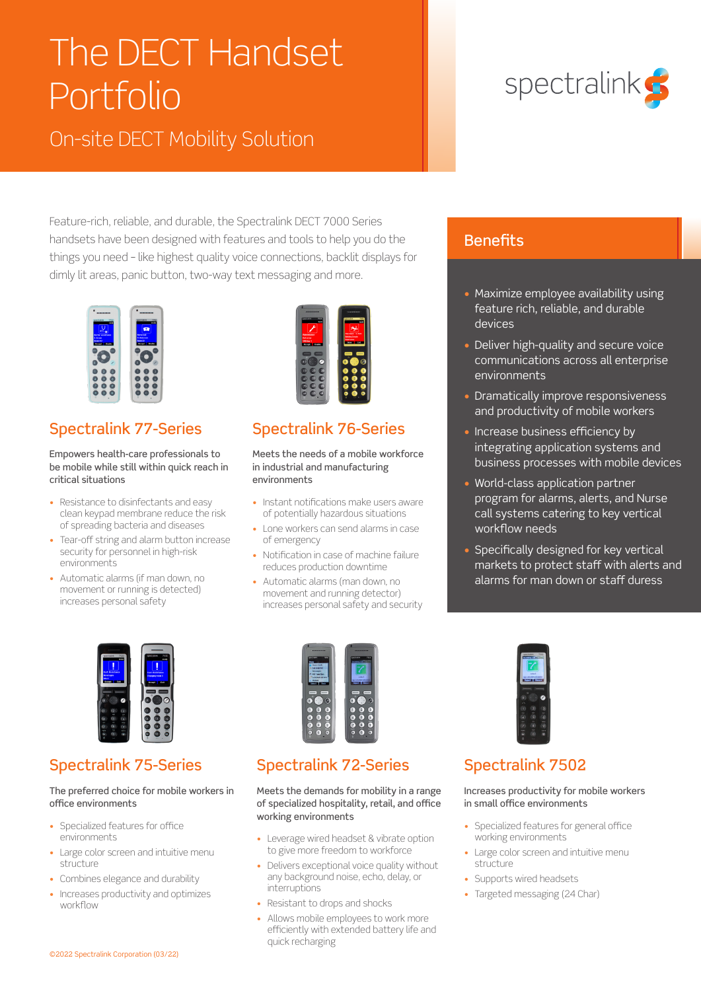# The DECT Handset Portfolio

On-site DECT Mobility Solution

Feature-rich, reliable, and durable, the Spectralink DECT 7000 Series handsets have been designed with features and tools to help you do the things you need – like highest quality voice connections, backlit displays for dimly lit areas, panic button, two-way text messaging and more.



### Spectralink 77-Series

#### Empowers health-care professionals to be mobile while still within quick reach in critical situations

- Resistance to disinfectants and easy clean keypad membrane reduce the risk of spreading bacteria and diseases
- Tear-off string and alarm button increase security for personnel in high-risk environments
- Automatic alarms (if man down, no movement or running is detected) increases personal safety



### Spectralink 76-Series

Meets the needs of a mobile workforce in industrial and manufacturing environments

- Instant notifications make users aware of potentially hazardous situations
- Lone workers can send alarms in case of emergency
- Notification in case of machine failure reduces production downtime
- Automatic alarms (man down, no movement and running detector) increases personal safety and security



#### **Benefits**

- Maximize employee availability using feature rich, reliable, and durable devices
- Deliver high-quality and secure voice communications across all enterprise environments
- Dramatically improve responsiveness and productivity of mobile workers
- Increase business efficiency by integrating application systems and business processes with mobile devices
- World-class application partner program for alarms, alerts, and Nurse call systems catering to key vertical workflow needs
- Specifically designed for key vertical markets to protect staff with alerts and alarms for man down or staff duress



### Spectralink 75-Series

#### The preferred choice for mobile workers in office environments

- Specialized features for office environments
- Large color screen and intuitive menu structure
- Combines elegance and durability
- Increases productivity and optimizes workflow



### Spectralink 72-Series

Meets the demands for mobility in a range of specialized hospitality, retail, and office working environments

- Leverage wired headset & vibrate option to give more freedom to workforce
- Delivers exceptional voice quality without any background noise, echo, delay, or interruptions
- Resistant to drops and shocks
- Allows mobile employees to work more efficiently with extended battery life and quick recharging



### Spectralink 7502

#### Increases productivity for mobile workers in small office environments

- Specialized features for general office working environments
- Large color screen and intuitive menu structure
- Supports wired headsets
- Targeted messaging (24 Char)